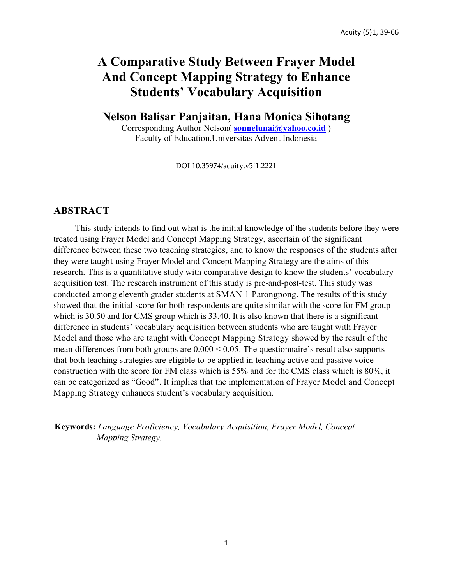# **A Comparative Study Between Frayer Model And Concept Mapping Strategy to Enhance Students' Vocabulary Acquisition**

**Nelson Balisar Panjaitan, Hana Monica Sihotang**

Corresponding Author Nelson( **sonnelunai@yahoo.co.id** ) Faculty of Education,Universitas Advent Indonesia

DOI 10.35974/acuity.v5i1.2221

### **ABSTRACT**

This study intends to find out what is the initial knowledge of the students before they were treated using Frayer Model and Concept Mapping Strategy, ascertain of the significant difference between these two teaching strategies, and to know the responses of the students after they were taught using Frayer Model and Concept Mapping Strategy are the aims of this research. This is a quantitative study with comparative design to know the students' vocabulary acquisition test. The research instrument of this study is pre-and-post-test. This study was conducted among eleventh grader students at SMAN 1 Parongpong. The results of this study showed that the initial score for both respondents are quite similar with the score for FM group which is 30.50 and for CMS group which is 33.40. It is also known that there is a significant difference in students' vocabulary acquisition between students who are taught with Frayer Model and those who are taught with Concept Mapping Strategy showed by the result of the mean differences from both groups are  $0.000 \le 0.05$ . The questionnaire's result also supports that both teaching strategies are eligible to be applied in teaching active and passive voice construction with the score for FM class which is 55% and for the CMS class which is 80%, it can be categorized as "Good". It implies that the implementation of Frayer Model and Concept Mapping Strategy enhances student's vocabulary acquisition.

**Keywords:** *Language Proficiency, Vocabulary Acquisition, Frayer Model, Concept Mapping Strategy.*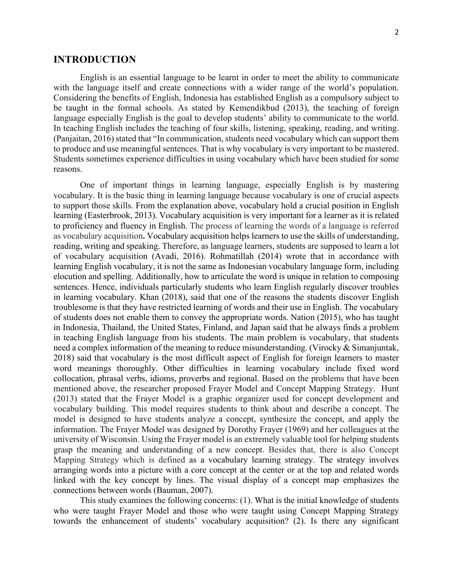### **INTRODUCTION**

English is an essential language to be learnt in order to meet the ability to communicate with the language itself and create connections with a wider range of the world's population. Considering the benefits of English, Indonesia has established English as a compulsory subject to be taught in the formal schools. As stated by Kemendikbud (2013), the teaching of foreign language especially English is the goal to develop students' ability to communicate to the world. In teaching English includes the teaching of four skills, listening, speaking, reading, and writing. (Panjaitan, 2016) stated that "In communication, students need vocabulary which can support them to produce and use meaningful sentences. That is why vocabulary is very important to be mastered. Students sometimes experience difficulties in using vocabulary which have been studied for some reasons.

One of important things in learning language, especially English is by mastering vocabulary. It is the basic thing in learning language because vocabulary is one of crucial aspects to support those skills. From the explanation above, vocabulary hold a crucial position in English learning (Easterbrook, 2013). Vocabulary acquisition is very important for a learner as it is related to proficiency and fluency in English. The process of learning the words of a language is referred as vocabulary acquisition**.** Vocabulary acquisition helps learners to use the skills of understanding, reading, writing and speaking. Therefore, as language learners, students are supposed to learn a lot of vocabulary acquisition (Avadi, 2016). Rohmatillah (2014) wrote that in accordance with learning English vocabulary, it is not the same as Indonesian vocabulary language form, including elocution and spelling. Additionally, how to articulate the word is unique in relation to composing sentences. Hence, individuals particularly students who learn English regularly discover troubles in learning vocabulary. Khan (2018), said that one of the reasons the students discover English troublesome is that they have restricted learning of words and their use in English. The vocabulary of students does not enable them to convey the appropriate words. Nation (2015), who has taught in Indonesia, Thailand, the United States, Finland, and Japan said that he always finds a problem in teaching English language from his students. The main problem is vocabulary, that students need a complex information of the meaning to reduce misunderstanding. (Virocky & Simanjuntak, 2018) said that vocabulary is the most difficult aspect of English for foreign learners to master word meanings thoroughly. Other difficulties in learning vocabulary include fixed word collocation, phrasal verbs, idioms, proverbs and regional. Based on the problems that have been mentioned above, the researcher proposed Frayer Model and Concept Mapping Strategy. Hunt (2013) stated that the Frayer Model is a graphic organizer used for concept development and vocabulary building. This model requires students to think about and describe a concept. The model is designed to have students analyze a concept, synthesize the concept, and apply the information. The Frayer Model was designed by Dorothy Frayer (1969) and her colleagues at the university of Wisconsin. Using the Frayer model is an extremely valuable tool for helping students grasp the meaning and understanding of a new concept. Besides that, there is also Concept Mapping Strategy which is defined as a vocabulary learning strategy. The strategy involves arranging words into a picture with a core concept at the center or at the top and related words linked with the key concept by lines. The visual display of a concept map emphasizes the connections between words (Bauman, 2007).

This study examines the following concerns: (1). What is the initial knowledge of students who were taught Frayer Model and those who were taught using Concept Mapping Strategy towards the enhancement of students' vocabulary acquisition? (2). Is there any significant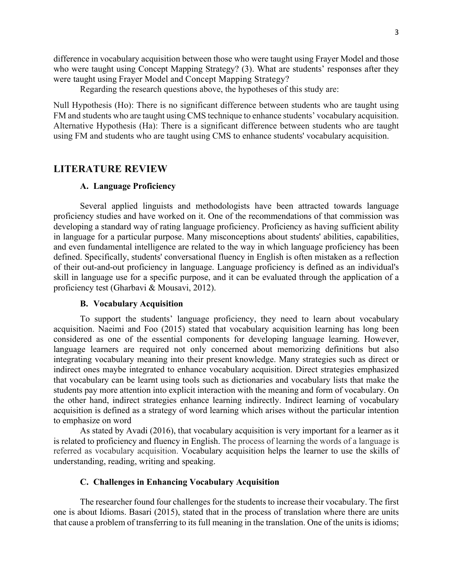difference in vocabulary acquisition between those who were taught using Frayer Model and those who were taught using Concept Mapping Strategy? (3). What are students' responses after they were taught using Frayer Model and Concept Mapping Strategy?

Regarding the research questions above, the hypotheses of this study are:

Null Hypothesis (Ho): There is no significant difference between students who are taught using FM and students who are taught using CMS technique to enhance students' vocabulary acquisition. Alternative Hypothesis (Ha): There is a significant difference between students who are taught using FM and students who are taught using CMS to enhance students' vocabulary acquisition.

### **LITERATURE REVIEW**

#### **A. Language Proficiency**

Several applied linguists and methodologists have been attracted towards language proficiency studies and have worked on it. One of the recommendations of that commission was developing a standard way of rating language proficiency. Proficiency as having sufficient ability in language for a particular purpose. Many misconceptions about students' abilities, capabilities, and even fundamental intelligence are related to the way in which language proficiency has been defined. Specifically, students' conversational fluency in English is often mistaken as a reflection of their out-and-out proficiency in language. Language proficiency is defined as an individual's skill in language use for a specific purpose, and it can be evaluated through the application of a proficiency test (Gharbavi & Mousavi, 2012).

#### **B. Vocabulary Acquisition**

To support the students' language proficiency, they need to learn about vocabulary acquisition. Naeimi and Foo (2015) stated that vocabulary acquisition learning has long been considered as one of the essential components for developing language learning. However, language learners are required not only concerned about memorizing definitions but also integrating vocabulary meaning into their present knowledge. Many strategies such as direct or indirect ones maybe integrated to enhance vocabulary acquisition. Direct strategies emphasized that vocabulary can be learnt using tools such as dictionaries and vocabulary lists that make the students pay more attention into explicit interaction with the meaning and form of vocabulary. On the other hand, indirect strategies enhance learning indirectly. Indirect learning of vocabulary acquisition is defined as a strategy of word learning which arises without the particular intention to emphasize on word

As stated by Avadi (2016), that vocabulary acquisition is very important for a learner as it is related to proficiency and fluency in English. The process of learning the words of a language is referred as vocabulary acquisition. Vocabulary acquisition helps the learner to use the skills of understanding, reading, writing and speaking.

#### **C. Challenges in Enhancing Vocabulary Acquisition**

The researcher found four challenges for the students to increase their vocabulary. The first one is about Idioms. Basari (2015), stated that in the process of translation where there are units that cause a problem of transferring to its full meaning in the translation. One of the units is idioms;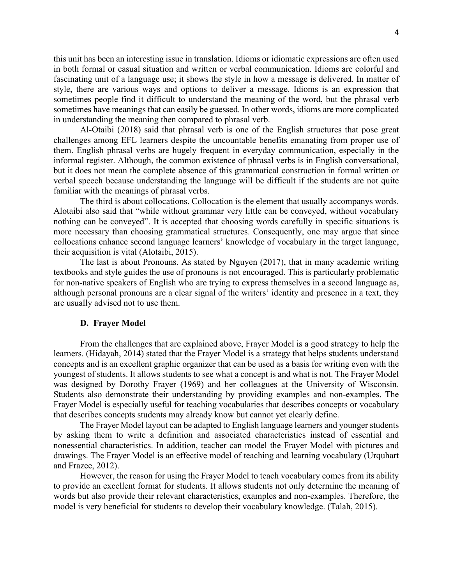this unit has been an interesting issue in translation. Idioms or idiomatic expressions are often used in both formal or casual situation and written or verbal communication. Idioms are colorful and fascinating unit of a language use; it shows the style in how a message is delivered. In matter of style, there are various ways and options to deliver a message. Idioms is an expression that sometimes people find it difficult to understand the meaning of the word, but the phrasal verb sometimes have meanings that can easily be guessed. In other words, idioms are more complicated in understanding the meaning then compared to phrasal verb.

Al-Otaibi (2018) said that phrasal verb is one of the English structures that pose great challenges among EFL learners despite the uncountable benefits emanating from proper use of them. English phrasal verbs are hugely frequent in everyday communication, especially in the informal register. Although, the common existence of phrasal verbs is in English conversational, but it does not mean the complete absence of this grammatical construction in formal written or verbal speech because understanding the language will be difficult if the students are not quite familiar with the meanings of phrasal verbs.

The third is about collocations. Collocation is the element that usually accompanys words. Alotaibi also said that "while without grammar very little can be conveyed, without vocabulary nothing can be conveyed". It is accepted that choosing words carefully in specific situations is more necessary than choosing grammatical structures. Consequently, one may argue that since collocations enhance second language learners' knowledge of vocabulary in the target language, their acquisition is vital (Alotaibi, 2015).

The last is about Pronouns. As stated by Nguyen (2017), that in many academic writing textbooks and style guides the use of pronouns is not encouraged. This is particularly problematic for non-native speakers of English who are trying to express themselves in a second language as, although personal pronouns are a clear signal of the writers' identity and presence in a text, they are usually advised not to use them.

#### **D. Frayer Model**

From the challenges that are explained above, Frayer Model is a good strategy to help the learners. (Hidayah, 2014) stated that the Frayer Model is a strategy that helps students understand concepts and is an excellent graphic organizer that can be used as a basis for writing even with the youngest of students. It allows students to see what a concept is and what is not. The Frayer Model was designed by Dorothy Frayer (1969) and her colleagues at the University of Wisconsin. Students also demonstrate their understanding by providing examples and non-examples. The Frayer Model is especially useful for teaching vocabularies that describes concepts or vocabulary that describes concepts students may already know but cannot yet clearly define.

The Frayer Model layout can be adapted to English language learners and younger students by asking them to write a definition and associated characteristics instead of essential and nonessential characteristics. In addition, teacher can model the Frayer Model with pictures and drawings. The Frayer Model is an effective model of teaching and learning vocabulary (Urquhart and Frazee, 2012).

However, the reason for using the Frayer Model to teach vocabulary comes from its ability to provide an excellent format for students. It allows students not only determine the meaning of words but also provide their relevant characteristics, examples and non-examples. Therefore, the model is very beneficial for students to develop their vocabulary knowledge. (Talah, 2015).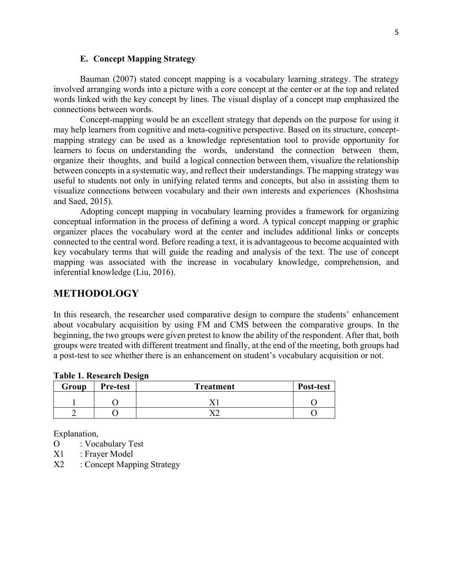#### **E. Concept Mapping Strategy**

Bauman (2007) stated concept mapping is a vocabulary learning strategy. The strategy involved arranging words into a picture with a core concept at the center or at the top and related words linked with the key concept by lines. The visual display of a concept map emphasized the connections between words.

Concept-mapping would be an excellent strategy that depends on the purpose for using it may help learners from cognitive and meta-cognitive perspective. Based on its structure, conceptmapping strategy can be used as a knowledge representation tool to provide opportunity for learners to focus on understanding the words, understand the connection between them, organize their thoughts, and build a logical connection between them, visualize the relationship between concepts in a systematic way, and reflect their understandings. The mapping strategy was useful to students not only in unifying related terms and concepts, but also in assisting them to visualize connections between vocabulary and their own interests and experiences (Khoshsima and Saed, 2015).

Adopting concept mapping in vocabulary learning provides a framework for organizing conceptual information in the process of defining a word. A typical concept mapping or graphic organizer places the vocabulary word at the center and includes additional links or concepts connected to the central word. Before reading a text, it is advantageous to become acquainted with key vocabulary terms that will guide the reading and analysis of the text. The use of concept mapping was associated with the increase in vocabulary knowledge, comprehension, and inferential knowledge (Liu, 2016).

## **METHODOLOGY**

In this research, the researcher used comparative design to compare the students' enhancement about vocabulary acquisition by using FM and CMS between the comparative groups. In the beginning, the two groups were given pretest to know the ability of the respondent. After that, both groups were treated with different treatment and finally, at the end of the meeting, both groups had a post-test to see whether there is an enhancement on student's vocabulary acquisition or not.

| Group | <b>Pre-test</b> | <b>Treatment</b> | Post-test |
|-------|-----------------|------------------|-----------|
|       |                 |                  |           |
|       |                 |                  |           |

**Table 1. Research Design**

Explanation,

- O : Vocabulary Test
- X1 : Frayer Model
- X2 : Concept Mapping Strategy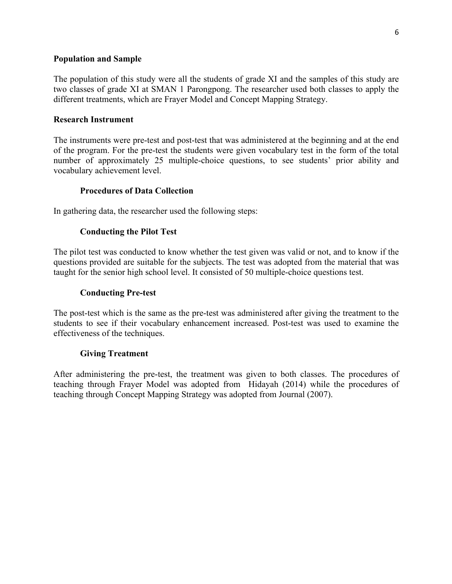### **Population and Sample**

The population of this study were all the students of grade XI and the samples of this study are two classes of grade XI at SMAN 1 Parongpong. The researcher used both classes to apply the different treatments, which are Frayer Model and Concept Mapping Strategy.

### **Research Instrument**

The instruments were pre-test and post-test that was administered at the beginning and at the end of the program. For the pre-test the students were given vocabulary test in the form of the total number of approximately 25 multiple-choice questions, to see students' prior ability and vocabulary achievement level.

### **Procedures of Data Collection**

In gathering data, the researcher used the following steps:

### **Conducting the Pilot Test**

The pilot test was conducted to know whether the test given was valid or not, and to know if the questions provided are suitable for the subjects. The test was adopted from the material that was taught for the senior high school level. It consisted of 50 multiple-choice questions test.

### **Conducting Pre-test**

The post-test which is the same as the pre-test was administered after giving the treatment to the students to see if their vocabulary enhancement increased. Post-test was used to examine the effectiveness of the techniques.

### **Giving Treatment**

After administering the pre-test, the treatment was given to both classes. The procedures of teaching through Frayer Model was adopted from Hidayah (2014) while the procedures of teaching through Concept Mapping Strategy was adopted from Journal (2007).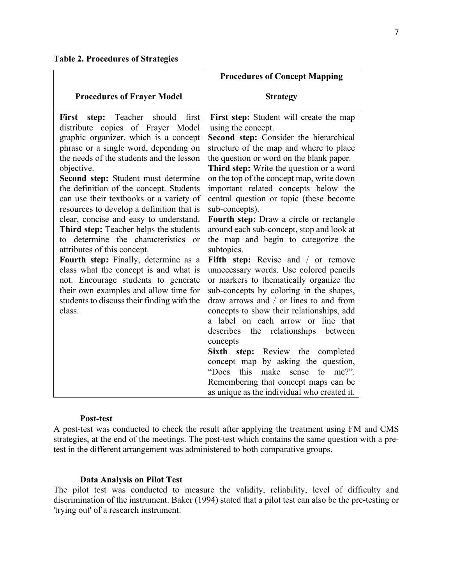**Table 2. Procedures of Strategies**

|                                                                                                                                                                                                                                                                                                                                                                                                                                                                                                                                                                                                                                                                                                                                                                                      | <b>Procedures of Concept Mapping</b>                                                                                                                                                                                                                                                                                                                                                                                                                                                                                                                                                                                                                                                                                                                                                                                                                                                                                                                                                                                                                                                                                   |
|--------------------------------------------------------------------------------------------------------------------------------------------------------------------------------------------------------------------------------------------------------------------------------------------------------------------------------------------------------------------------------------------------------------------------------------------------------------------------------------------------------------------------------------------------------------------------------------------------------------------------------------------------------------------------------------------------------------------------------------------------------------------------------------|------------------------------------------------------------------------------------------------------------------------------------------------------------------------------------------------------------------------------------------------------------------------------------------------------------------------------------------------------------------------------------------------------------------------------------------------------------------------------------------------------------------------------------------------------------------------------------------------------------------------------------------------------------------------------------------------------------------------------------------------------------------------------------------------------------------------------------------------------------------------------------------------------------------------------------------------------------------------------------------------------------------------------------------------------------------------------------------------------------------------|
| <b>Procedures of Frayer Model</b>                                                                                                                                                                                                                                                                                                                                                                                                                                                                                                                                                                                                                                                                                                                                                    | <b>Strategy</b>                                                                                                                                                                                                                                                                                                                                                                                                                                                                                                                                                                                                                                                                                                                                                                                                                                                                                                                                                                                                                                                                                                        |
| first<br>Teacher should<br>First step:<br>distribute copies of Frayer Model<br>graphic organizer, which is a concept<br>phrase or a single word, depending on<br>the needs of the students and the lesson<br>objective.<br>Second step: Student must determine<br>the definition of the concept. Students<br>can use their textbooks or a variety of<br>resources to develop a definition that is<br>clear, concise and easy to understand.<br>Third step: Teacher helps the students<br>to determine the characteristics or<br>attributes of this concept.<br>Fourth step: Finally, determine as a<br>class what the concept is and what is<br>not. Encourage students to generate<br>their own examples and allow time for<br>students to discuss their finding with the<br>class. | First step: Student will create the map<br>using the concept.<br>Second step: Consider the hierarchical<br>structure of the map and where to place<br>the question or word on the blank paper.<br>Third step: Write the question or a word<br>on the top of the concept map, write down<br>important related concepts below the<br>central question or topic (these become<br>sub-concepts).<br>Fourth step: Draw a circle or rectangle<br>around each sub-concept, stop and look at<br>the map and begin to categorize the<br>subtopics.<br>Fifth step: Revise and / or remove<br>unnecessary words. Use colored pencils<br>or markers to thematically organize the<br>sub-concepts by coloring in the shapes,<br>draw arrows and / or lines to and from<br>concepts to show their relationships, add<br>a label on each arrow or line that<br>describes the relationships between<br>concepts<br>Sixth step: Review the completed<br>concept map by asking the question,<br>"Does"<br>this<br>make<br>sense<br>to<br>$me?$ ".<br>Remembering that concept maps can be<br>as unique as the individual who created it. |

#### **Post-test**

A post-test was conducted to check the result after applying the treatment using FM and CMS strategies, at the end of the meetings. The post-test which contains the same question with a pretest in the different arrangement was administered to both comparative groups.

### **Data Analysis on Pilot Test**

The pilot test was conducted to measure the validity, reliability, level of difficulty and discrimination of the instrument. Baker (1994) stated that a pilot test can also be the pre-testing or 'trying out' of a research instrument.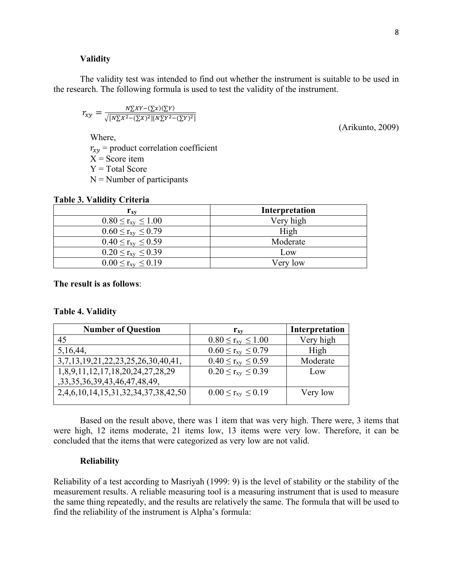#### **Validity**

The validity test was intended to find out whether the instrument is suitable to be used in the research. The following formula is used to test the validity of the instrument.

$$
r_{xy} = \frac{N\sum XY - (\sum x)(\sum Y)}{\sqrt{[N\sum X^2 - (\sum X)^2][N\sum Y^2 - (\sum Y)^2]}}
$$

Where,

 $r_{xy}$  = product correlation coefficient

 $X =$ Score item

 $Y = Total Score$ 

 $N =$  Number of participants

#### **Table 3. Validity Criteria**

| $r_{\rm xv}$                   | Interpretation |
|--------------------------------|----------------|
| $0.80 \le r_{\rm xv} \le 1.00$ | Very high      |
| $0.60 \le r_{xy} \le 0.79$     | High           |
| $0.40 \leq r_{xy} \leq 0.59$   | Moderate       |
| $0.20 \le r_{xy} \le 0.39$     | Low            |
| $0.00 \le r_{xy} \le 0.19$     | Very low       |

#### **The result is as follows**:

#### **Table 4. Validity**

| <b>Number of Question</b>           | $r_{\rm xv}$               | Interpretation |
|-------------------------------------|----------------------------|----------------|
| 45                                  | $0.80 \le r_{xy} \le 1.00$ | Very high      |
| 5, 16, 44,                          | $0.60 \le r_{xy} \le 0.79$ | High           |
| 3,7,13,19,21,22,23,25,26,30,40,41,  | $0.40 \le r_{xy} \le 0.59$ | Moderate       |
| 1,8,9,11,12,17,18,20,24,27,28,29    | $0.20 \le r_{xy} \le 0.39$ | Low            |
| ,33,35,36,39,43,46,47,48,49,        |                            |                |
| 2,4,6,10,14,15,31,32,34,37,38,42,50 | $0.00 \le r_{xy} \le 0.19$ | Very low       |
|                                     |                            |                |

Based on the result above, there was 1 item that was very high. There were, 3 items that were high, 12 items moderate, 21 items low, 13 items were very low. Therefore, it can be concluded that the items that were categorized as very low are not valid.

#### **Reliability**

Reliability of a test according to Masriyah (1999: 9) is the level of stability or the stability of the measurement results. A reliable measuring tool is a measuring instrument that is used to measure the same thing repeatedly, and the results are relatively the same. The formula that will be used to find the reliability of the instrument is Alpha's formula:

(Arikunto, 2009)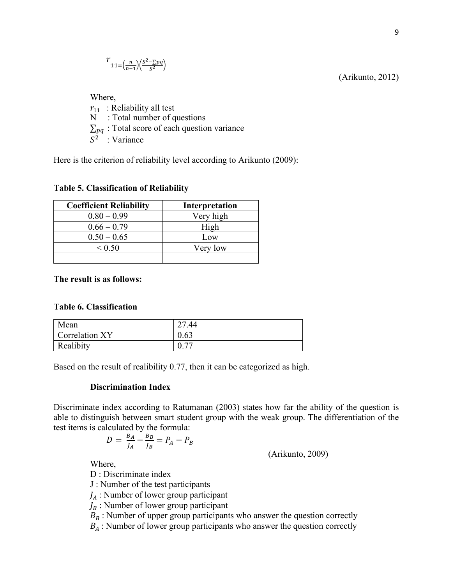$$
r_{11=\left(\frac{n}{n-1}\right)\left(\frac{S^2-\sum pq}{S^2}\right)}
$$

(Arikunto, 2012)

Where,  $r_{11}$ : Reliability all test N : Total number of questions  $\Sigma_{pq}$ : Total score of each question variance  $S^2$ : Variance

Here is the criterion of reliability level according to Arikunto (2009):

#### **Table 5. Classification of Reliability**

| <b>Coefficient Reliability</b> | <b>Interpretation</b> |
|--------------------------------|-----------------------|
| $0.80 - 0.99$                  | Very high             |
| $0.66 - 0.79$                  | High                  |
| $0.50 - 0.65$                  | Low                   |
| < 0.50                         | Very low              |
|                                |                       |

#### **The result is as follows:**

#### **Table 6. Classification**

| Mean           | $\mathcal{L}$<br>.44     |
|----------------|--------------------------|
| Correlation XY | 0.63                     |
| Realibity      | $\overline{\phantom{m}}$ |

Based on the result of realibility 0.77, then it can be categorized as high.

#### **Discrimination Index**

Discriminate index according to Ratumanan (2003) states how far the ability of the question is able to distinguish between smart student group with the weak group. The differentiation of the test items is calculated by the formula:

$$
D = \frac{B_A}{J_A} - \frac{B_B}{J_B} = P_A - P_B
$$

(Arikunto, 2009)

Where,

D : Discriminate index

J : Number of the test participants

 $J_A$ : Number of lower group participant

 $J_B$ : Number of lower group participant

 $B_B$ : Number of upper group participants who answer the question correctly

 $B_A$ : Number of lower group participants who answer the question correctly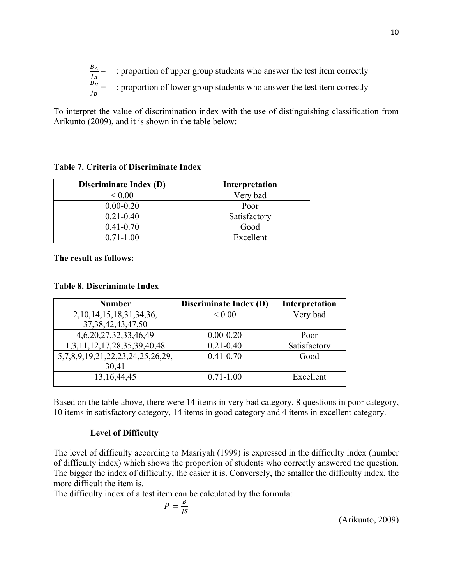$B_A$  $\frac{B_A}{J_A}$  = : proportion of upper group students who answer the test item correctly  $B_B$  $\frac{B_B}{B_B}$  = : proportion of lower group students who answer the test item correctly

To interpret the value of discrimination index with the use of distinguishing classification from Arikunto (2009), and it is shown in the table below:

### **Table 7. Criteria of Discriminate Index**

| <b>Discriminate Index (D)</b> | Interpretation |
|-------------------------------|----------------|
| < 0.00                        | Very bad       |
| $0.00 - 0.20$                 | Poor           |
| $0.21 - 0.40$                 | Satisfactory   |
| $0.41 - 0.70$                 | Good           |
| $0.71 - 1.00$                 | Excellent      |

**The result as follows:**

### **Table 8. Discriminate Index**

| <b>Number</b>                    | Discriminate Index (D) | Interpretation |
|----------------------------------|------------------------|----------------|
| 2, 10, 14, 15, 18, 31, 34, 36,   | ${}_{0.005}$           | Very bad       |
| 37, 38, 42, 43, 47, 50           |                        |                |
| 4,6,20,27,32,33,46,49            | $0.00 - 0.20$          | Poor           |
| 1,3,11,12,17,28,35,39,40,48      | $0.21 - 0.40$          | Satisfactory   |
| 5,7,8,9,19,21,22,23,24,25,26,29, | $0.41 - 0.70$          | Good           |
| 30,41                            |                        |                |
| 13, 16, 44, 45                   | $0.71 - 1.00$          | Excellent      |

Based on the table above, there were 14 items in very bad category, 8 questions in poor category, 10 items in satisfactory category, 14 items in good category and 4 items in excellent category.

### **Level of Difficulty**

The level of difficulty according to Masriyah (1999) is expressed in the difficulty index (number of difficulty index) which shows the proportion of students who correctly answered the question. The bigger the index of difficulty, the easier it is. Conversely, the smaller the difficulty index, the more difficult the item is.

The difficulty index of a test item can be calculated by the formula:

$$
P = \frac{B}{JS}
$$
 (Arikunto, 2009)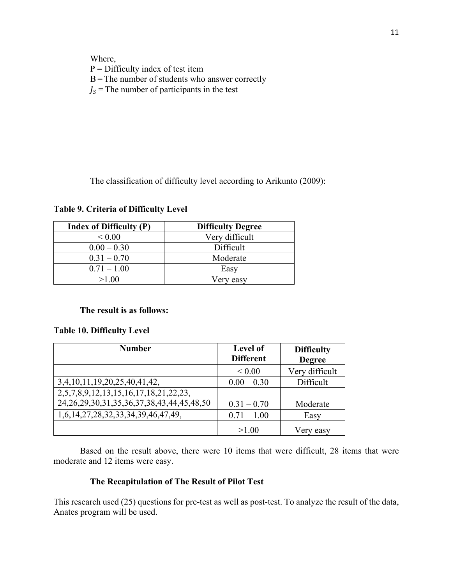Where,  $P =$  Difficulty index of test item B= The number of students who answer correctly  $K =$ The number of participants in the test

The classification of difficulty level according to Arikunto (2009):

**Table 9. Criteria of Difficulty Level**

| <b>Index of Difficulty (P)</b> | <b>Difficulty Degree</b> |
|--------------------------------|--------------------------|
| ${}_{0.005}$                   | Very difficult           |
| $0.00 - 0.30$                  | Difficult                |
| $0.31 - 0.70$                  | Moderate                 |
| $0.71 - 1.00$                  | Easy                     |
| >1.00                          | √erv easv                |

#### **The result is as follows:**

### **Table 10. Difficulty Level**

| <b>Number</b>                                          | Level of<br><b>Different</b> | <b>Difficulty</b><br><b>Degree</b> |
|--------------------------------------------------------|------------------------------|------------------------------------|
|                                                        | ${}< 0.00$                   | Very difficult                     |
| 3,4,10,11,19,20,25,40,41,42,                           | $0.00 - 0.30$                | Difficult                          |
| 2,5,7,8,9,12,13,15,16,17,18,21,22,23,                  |                              |                                    |
| 24, 26, 29, 30, 31, 35, 36, 37, 38, 43, 44, 45, 48, 50 | $0.31 - 0.70$                | Moderate                           |
| 1,6,14,27,28,32,33,34,39,46,47,49,                     | $0.71 - 1.00$                | Easy                               |
|                                                        | >1.00                        | easy                               |

Based on the result above, there were 10 items that were difficult, 28 items that were moderate and 12 items were easy.

### **The Recapitulation of The Result of Pilot Test**

This research used (25) questions for pre-test as well as post-test. To analyze the result of the data, Anates program will be used.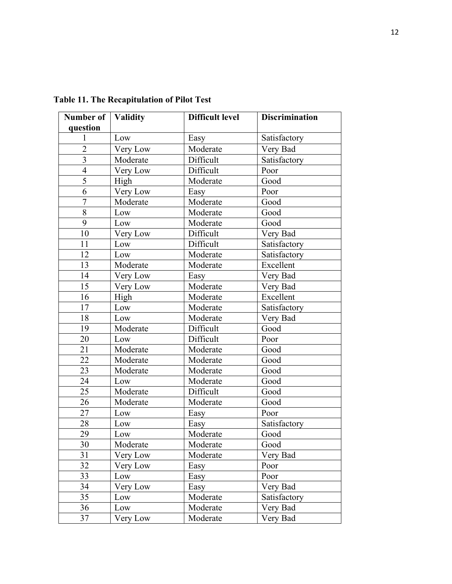| Number of   Validity<br>question |          | <b>Difficult level</b> | <b>Discrimination</b> |
|----------------------------------|----------|------------------------|-----------------------|
| 1                                | Low      | Easy                   | Satisfactory          |
| $\overline{2}$                   | Very Low | Moderate               | Very Bad              |
| 3                                | Moderate | Difficult              | Satisfactory          |
| $\overline{4}$                   | Very Low | Difficult              | Poor                  |
| $\overline{5}$                   | High     | Moderate               | Good                  |
| 6                                | Very Low | Easy                   | Poor                  |
| $\overline{7}$                   | Moderate | Moderate               | Good                  |
| $\,8\,$                          | Low      | Moderate               | Good                  |
| 9                                | Low      | Moderate               | Good                  |
| 10                               | Very Low | Difficult              | Very Bad              |
| 11                               | Low      | Difficult              | Satisfactory          |
| 12                               | Low      | Moderate               | Satisfactory          |
| 13                               | Moderate | Moderate               | Excellent             |
| 14                               | Very Low | Easy                   | Very Bad              |
| 15                               | Very Low | Moderate               | Very Bad              |
| 16                               | High     | Moderate               | Excellent             |
| 17                               | Low      | Moderate               | Satisfactory          |
| 18                               | Low      | Moderate               | Very Bad              |
| 19                               | Moderate | Difficult              | Good                  |
| 20                               | Low      | Difficult              | Poor                  |
| 21                               | Moderate | Moderate               | Good                  |
| 22                               | Moderate | Moderate               | Good                  |
| 23                               | Moderate | Moderate               | Good                  |
| 24                               | Low      | Moderate               | Good                  |
| 25                               | Moderate | Difficult              | Good                  |
| 26                               | Moderate | Moderate               | Good                  |
| 27                               | Low      | Easy                   | Poor                  |
| 28                               | Low      | Easy                   | Satisfactory          |
| 29                               | Low      | Moderate               | Good                  |
| 30                               | Moderate | Moderate               | Good                  |
| 31                               | Very Low | Moderate               | Very Bad              |
| 32                               | Very Low | Easy                   | Poor                  |
| 33                               | Low      | Easy                   | Poor                  |
| 34                               | Very Low | Easy                   | Very Bad              |
| 35                               | Low      | Moderate               | Satisfactory          |
| 36                               | Low      | Moderate               | Very Bad              |
| 37                               | Very Low | Moderate               | Very Bad              |

**Table 11. The Recapitulation of Pilot Test**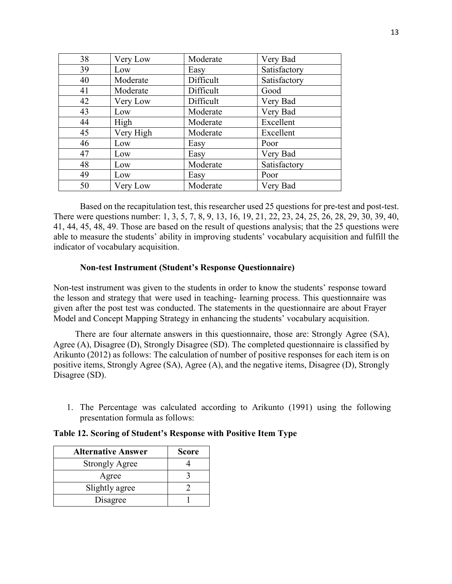| 38 | Very Low  | Moderate  | Very Bad     |
|----|-----------|-----------|--------------|
| 39 | Low       | Easy      | Satisfactory |
| 40 | Moderate  | Difficult | Satisfactory |
| 41 | Moderate  | Difficult | Good         |
| 42 | Very Low  | Difficult | Very Bad     |
| 43 | Low       | Moderate  | Very Bad     |
| 44 | High      | Moderate  | Excellent    |
| 45 | Very High | Moderate  | Excellent    |
| 46 | Low       | Easy      | Poor         |
| 47 | Low       | Easy      | Very Bad     |
| 48 | Low       | Moderate  | Satisfactory |
| 49 | Low       | Easy      | Poor         |
| 50 | Very Low  | Moderate  | Very Bad     |

Based on the recapitulation test, this researcher used 25 questions for pre-test and post-test. There were questions number: 1, 3, 5, 7, 8, 9, 13, 16, 19, 21, 22, 23, 24, 25, 26, 28, 29, 30, 39, 40, 41, 44, 45, 48, 49. Those are based on the result of questions analysis; that the 25 questions were able to measure the students' ability in improving students' vocabulary acquisition and fulfill the indicator of vocabulary acquisition.

### **Non-test Instrument (Student's Response Questionnaire)**

Non-test instrument was given to the students in order to know the students' response toward the lesson and strategy that were used in teaching- learning process. This questionnaire was given after the post test was conducted. The statements in the questionnaire are about Frayer Model and Concept Mapping Strategy in enhancing the students' vocabulary acquisition.

There are four alternate answers in this questionnaire, those are: Strongly Agree (SA), Agree (A), Disagree (D), Strongly Disagree (SD). The completed questionnaire is classified by Arikunto (2012) as follows: The calculation of number of positive responses for each item is on positive items, Strongly Agree (SA), Agree (A), and the negative items, Disagree (D), Strongly Disagree (SD).

1. The Percentage was calculated according to Arikunto (1991) using the following presentation formula as follows:

| <b>Alternative Answer</b> | <b>Score</b> |
|---------------------------|--------------|
| <b>Strongly Agree</b>     |              |
| Agree                     |              |
| Slightly agree            |              |
| Disagree                  |              |

#### **Table 12. Scoring of Student's Response with Positive Item Type**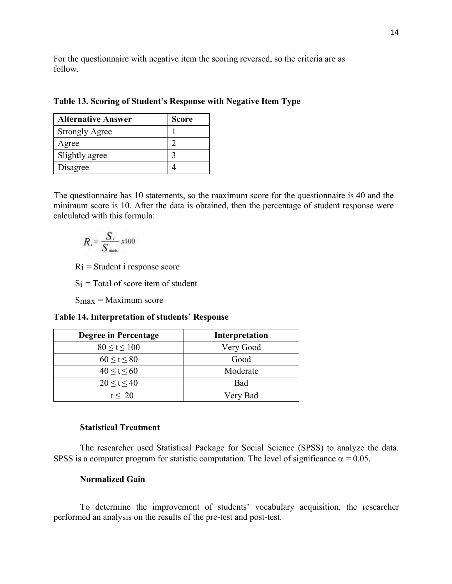For the questionnaire with negative item the scoring reversed, so the criteria are as follow.

|  | Table 13. Scoring of Student's Response with Negative Item Type |  |  |  |  |  |
|--|-----------------------------------------------------------------|--|--|--|--|--|
|  |                                                                 |  |  |  |  |  |

| <b>Alternative Answer</b> | <b>Score</b> |
|---------------------------|--------------|
| <b>Strongly Agree</b>     |              |
| Agree                     |              |
| Slightly agree            |              |
| Disagree                  |              |

The questionnaire has 10 statements, so the maximum score for the questionnaire is 40 and the minimum score is 10. After the data is obtained, then the percentage of student response were calculated with this formula:

$$
R_i = \frac{S_i}{S_{\text{mass}}} x^{100}
$$

 $R_i$  = Student i response score

 $Si = Total of score item of student$ 

 $S_{\text{max}}$  = Maximum score

**Table 14. Interpretation of students' Response**

| <b>Degree in Percentage</b> | Interpretation |
|-----------------------------|----------------|
| 80 < t < 100                | Very Good      |
| 60 < t < 80                 | Good           |
| 40 < t < 60                 | Moderate       |
| 20 < t < 40                 | Bad            |
| t < 20                      | Very Bad       |

### **Statistical Treatment**

The researcher used Statistical Package for Social Science (SPSS) to analyze the data. SPSS is a computer program for statistic computation. The level of significance  $\alpha = 0.05$ .

### **Normalized Gain**

To determine the improvement of students' vocabulary acquisition, the researcher performed an analysis on the results of the pre-test and post-test.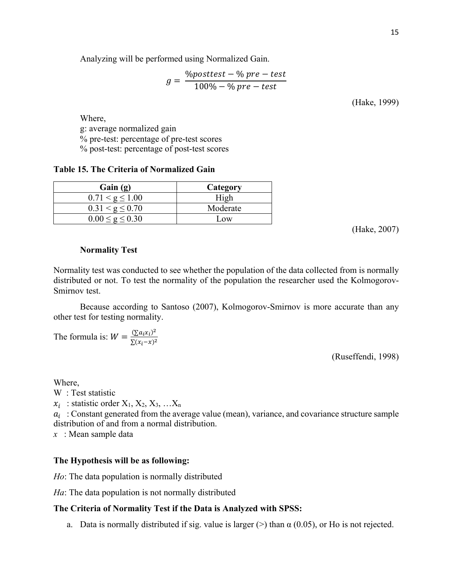Analyzing will be performed using Normalized Gain.

$$
g = \frac{\%posttest - \% pre-test}{100\% - \% pre-test}
$$

(Hake, 1999)

Where, g: average normalized gain % pre-test: percentage of pre-test scores % post-test: percentage of post-test scores

#### **Table 15. The Criteria of Normalized Gain**

| Gain(g)              | Category |
|----------------------|----------|
| $0.71 < g \leq 1.00$ | High     |
| $0.31 < g \leq 0.70$ | Moderate |
| $\leq$ g $\leq$ 0.30 | Low      |

(Hake, 2007)

### **Normality Test**

Normality test was conducted to see whether the population of the data collected from is normally distributed or not. To test the normality of the population the researcher used the Kolmogorov-Smirnov test.

Because according to Santoso (2007), Kolmogorov-Smirnov is more accurate than any other test for testing normality.

The formula is:  $W = \frac{\left(\sum a_i x_i\right)^2}{\sum (x_i - x)^2}$ 

(Ruseffendi, 1998)

#### Where,

W : Test statistic

 $x_i$ : statistic order  $X_1, X_2, X_3, ... X_n$ 

 $a_i$ : Constant generated from the average value (mean), variance, and covariance structure sample distribution of and from a normal distribution.

*x* : Mean sample data

### **The Hypothesis will be as following:**

*Ho*: The data population is normally distributed

*Ha*: The data population is not normally distributed

### **The Criteria of Normality Test if the Data is Analyzed with SPSS:**

a. Data is normally distributed if sig. value is larger ( $>$ ) than  $\alpha$  (0.05), or Ho is not rejected.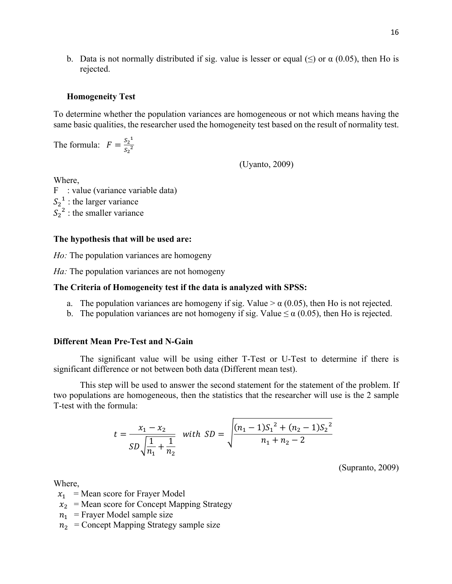b. Data is not normally distributed if sig. value is lesser or equal ( $\leq$ ) or  $\alpha$  (0.05), then Ho is rejected.

#### **Homogeneity Test**

To determine whether the population variances are homogeneous or not which means having the same basic qualities, the researcher used the homogeneity test based on the result of normality test.

The formula:  $F = \frac{S_2^1}{S_2^2}$  $s_2^2$ 

(Uyanto, 2009)

Where,

F : value (variance variable data)  $S_2$ <sup>1</sup> : the larger variance  $S_2^2$ : the smaller variance

#### **The hypothesis that will be used are:**

*Ho:* The population variances are homogeny

*Ha*: The population variances are not homogeny

#### **The Criteria of Homogeneity test if the data is analyzed with SPSS:**

- a. The population variances are homogeny if sig. Value  $> \alpha$  (0.05), then Ho is not rejected.
- b. The population variances are not homogeny if sig. Value  $\leq \alpha$  (0.05), then Ho is rejected.

#### **Different Mean Pre-Test and N-Gain**

The significant value will be using either T-Test or U-Test to determine if there is significant difference or not between both data (Different mean test).

This step will be used to answer the second statement for the statement of the problem. If two populations are homogeneous, then the statistics that the researcher will use is the 2 sample T-test with the formula:

$$
t = \frac{x_1 - x_2}{SD\sqrt{\frac{1}{n_1} + \frac{1}{n_2}}} \text{ with } SD = \sqrt{\frac{(n_1 - 1)S_1^2 + (n_2 - 1)S_2^2}{n_1 + n_2 - 2}}
$$

(Supranto, 2009)

Where,

- $x_1$  = Mean score for Frayer Model
- $x_2$  = Mean score for Concept Mapping Strategy
- $n_1$  = Frayer Model sample size
- $n_2$  = Concept Mapping Strategy sample size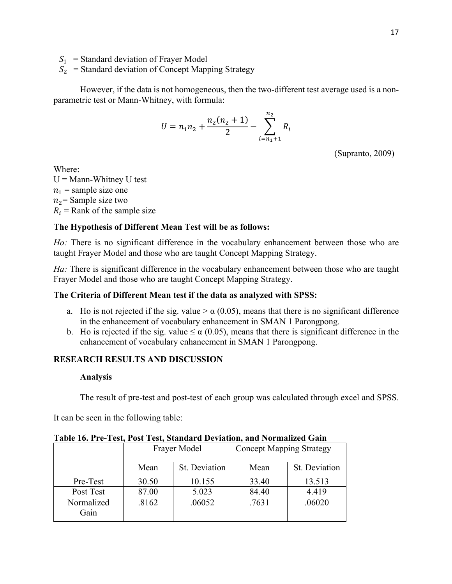$S_1$  = Standard deviation of Frayer Model

 $S_2$  = Standard deviation of Concept Mapping Strategy

However, if the data is not homogeneous, then the two-different test average used is a nonparametric test or Mann-Whitney, with formula:

$$
U = n_1 n_2 + \frac{n_2(n_2 + 1)}{2} - \sum_{i=n_1+1}^{n_2} R_i
$$

(Supranto, 2009)

Where:

 $U =$ Mann-Whitney U test  $n_1$  = sample size one  $n_2$  = Sample size two  $R_i$  = Rank of the sample size

### **The Hypothesis of Different Mean Test will be as follows:**

*Ho*: There is no significant difference in the vocabulary enhancement between those who are taught Frayer Model and those who are taught Concept Mapping Strategy.

*Ha*: There is significant difference in the vocabulary enhancement between those who are taught Frayer Model and those who are taught Concept Mapping Strategy.

### **The Criteria of Different Mean test if the data as analyzed with SPSS:**

- a. Ho is not rejected if the sig. value  $> \alpha$  (0.05), means that there is no significant difference in the enhancement of vocabulary enhancement in SMAN 1 Parongpong.
- b. Ho is rejected if the sig. value  $\leq \alpha$  (0.05), means that there is significant difference in the enhancement of vocabulary enhancement in SMAN 1 Parongpong.

### **RESEARCH RESULTS AND DISCUSSION**

#### **Analysis**

The result of pre-test and post-test of each group was calculated through excel and SPSS.

It can be seen in the following table:

|                    |       | Frayer Model  | <b>Concept Mapping Strategy</b> |               |  |
|--------------------|-------|---------------|---------------------------------|---------------|--|
|                    | Mean  | St. Deviation | Mean                            | St. Deviation |  |
| Pre-Test           | 30.50 | 10.155        | 33.40                           | 13.513        |  |
| Post Test          | 87.00 | 5.023         | 84.40                           | 4.419         |  |
| Normalized<br>Gain | .8162 | .06052        | .7631                           | .06020        |  |

**Table 16. Pre-Test, Post Test, Standard Deviation, and Normalized Gain**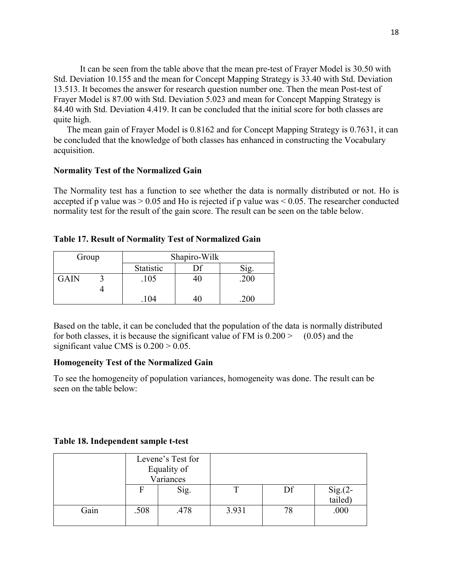It can be seen from the table above that the mean pre-test of Frayer Model is 30.50 with Std. Deviation 10.155 and the mean for Concept Mapping Strategy is 33.40 with Std. Deviation 13.513. It becomes the answer for research question number one. Then the mean Post-test of Frayer Model is 87.00 with Std. Deviation 5.023 and mean for Concept Mapping Strategy is 84.40 with Std. Deviation 4.419. It can be concluded that the initial score for both classes are quite high.

The mean gain of Frayer Model is 0.8162 and for Concept Mapping Strategy is 0.7631, it can be concluded that the knowledge of both classes has enhanced in constructing the Vocabulary acquisition.

### **Normality Test of the Normalized Gain**

The Normality test has a function to see whether the data is normally distributed or not. Ho is accepted if p value was  $> 0.05$  and Ho is rejected if p value was  $< 0.05$ . The researcher conducted normality test for the result of the gain score. The result can be seen on the table below.

|  |  | <b>Table 17. Result of Normality Test of Normalized Gain</b> |
|--|--|--------------------------------------------------------------|
|  |  |                                                              |

| Group | Shapiro-Wilk |  |      |  |  |
|-------|--------------|--|------|--|--|
|       | Statistic    |  | Sig. |  |  |
| GAIN  | .105         |  | .200 |  |  |
|       |              |  |      |  |  |
|       | .104         |  | .200 |  |  |

Based on the table, it can be concluded that the population of the data is normally distributed for both classes, it is because the significant value of FM is  $0.200 \ge (0.05)$  and the significant value CMS is  $0.200 > 0.05$ .

### **Homogeneity Test of the Normalized Gain**

To see the homogeneity of population variances, homogeneity was done. The result can be seen on the table below:

#### **Table 18. Independent sample t-test**

|      |      | Levene's Test for<br>Equality of<br>Variances |       |    |                   |
|------|------|-----------------------------------------------|-------|----|-------------------|
|      | F    | Sig.                                          |       | Df | $Sig(2 - tailed)$ |
| Gain | .508 | .478                                          | 3.931 | 78 | .000              |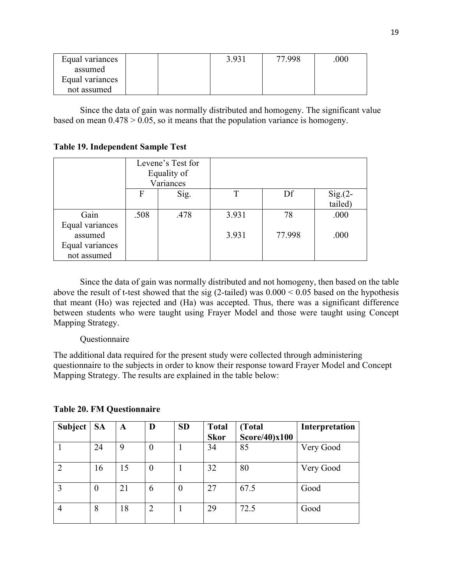| Equal variances |  | 3.931 | 77.998 | .000 |
|-----------------|--|-------|--------|------|
| assumed         |  |       |        |      |
| Equal variances |  |       |        |      |
| not assumed     |  |       |        |      |

Since the data of gain was normally distributed and homogeny. The significant value based on mean  $0.478 > 0.05$ , so it means that the population variance is homogeny.

### **Table 19. Independent Sample Test**

|                 | Levene's Test for<br>Equality of<br>Variances |      |       |        |                      |
|-----------------|-----------------------------------------------|------|-------|--------|----------------------|
|                 | $\mathbf F$                                   | Sig. |       | Df     | $Sig(2 -$<br>tailed) |
| Gain            | .508                                          | .478 | 3.931 | 78     | .000                 |
| Equal variances |                                               |      |       |        |                      |
| assumed         |                                               |      | 3.931 | 77.998 | .000                 |
| Equal variances |                                               |      |       |        |                      |
| not assumed     |                                               |      |       |        |                      |

Since the data of gain was normally distributed and not homogeny, then based on the table above the result of t-test showed that the sig (2-tailed) was  $0.000 \le 0.05$  based on the hypothesis that meant (Ho) was rejected and (Ha) was accepted. Thus, there was a significant difference between students who were taught using Frayer Model and those were taught using Concept Mapping Strategy.

### Questionnaire

The additional data required for the present study were collected through administering questionnaire to the subjects in order to know their response toward Frayer Model and Concept Mapping Strategy. The results are explained in the table below:

| Subject   SA |                  | A  | D                | <b>SD</b> | <b>Total</b> | (Total            | Interpretation |
|--------------|------------------|----|------------------|-----------|--------------|-------------------|----------------|
|              |                  |    |                  |           | <b>Skor</b>  | $Score/40$ $x100$ |                |
|              | 24               | 9  | $\theta$         |           | 34           | 85                | Very Good      |
|              | 16               | 15 | $\boldsymbol{0}$ |           | 32           | 80                | Very Good      |
|              | $\boldsymbol{0}$ | 21 | 6                | 0         | 27           | 67.5              | Good           |
|              | 8                | 18 | $\overline{2}$   |           | 29           | 72.5              | Good           |

### **Table 20. FM Questionnaire**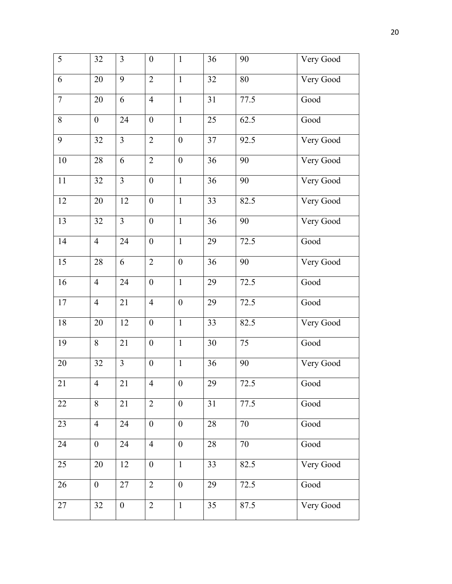| 5      | 32               | $\overline{3}$   | $\boldsymbol{0}$ | $\mathbf{1}$     | 36 | 90   | Very Good |
|--------|------------------|------------------|------------------|------------------|----|------|-----------|
| 6      | 20               | 9                | $\overline{2}$   | $\mathbf{1}$     | 32 | 80   | Very Good |
| $\tau$ | 20               | 6                | $\overline{4}$   | $\mathbf{1}$     | 31 | 77.5 | Good      |
| 8      | $\boldsymbol{0}$ | 24               | $\boldsymbol{0}$ | $\mathbf{1}$     | 25 | 62.5 | Good      |
| 9      | 32               | $\overline{3}$   | $\overline{2}$   | $\boldsymbol{0}$ | 37 | 92.5 | Very Good |
| 10     | 28               | 6                | $\overline{2}$   | $\boldsymbol{0}$ | 36 | 90   | Very Good |
| 11     | 32               | $\overline{3}$   | $\boldsymbol{0}$ | $\mathbf{1}$     | 36 | 90   | Very Good |
| 12     | 20               | 12               | $\boldsymbol{0}$ | $\mathbf{1}$     | 33 | 82.5 | Very Good |
| 13     | 32               | $\overline{3}$   | $\boldsymbol{0}$ | $\mathbf{1}$     | 36 | 90   | Very Good |
| 14     | $\overline{4}$   | 24               | $\boldsymbol{0}$ | $\mathbf{1}$     | 29 | 72.5 | Good      |
| 15     | 28               | 6                | $\overline{2}$   | $\boldsymbol{0}$ | 36 | 90   | Very Good |
| 16     | $\overline{4}$   | 24               | $\boldsymbol{0}$ | $\mathbf{1}$     | 29 | 72.5 | Good      |
| 17     | $\overline{4}$   | 21               | $\overline{4}$   | $\boldsymbol{0}$ | 29 | 72.5 | Good      |
| $18\,$ | 20               | 12               | $\boldsymbol{0}$ | $\mathbf{1}$     | 33 | 82.5 | Very Good |
| 19     | 8                | 21               | $\boldsymbol{0}$ | $\mathbf{1}$     | 30 | 75   | Good      |
| 20     | 32               | $\overline{3}$   | $\boldsymbol{0}$ | $\mathbf{1}$     | 36 | 90   | Very Good |
| 21     | $\overline{4}$   | 21               | $\overline{4}$   | $\boldsymbol{0}$ | 29 | 72.5 | Good      |
| 22     | 8                | 21               | $\overline{2}$   | $\overline{0}$   | 31 | 77.5 | Good      |
| 23     | $\overline{4}$   | 24               | $\boldsymbol{0}$ | $\boldsymbol{0}$ | 28 | 70   | Good      |
| 24     | $\boldsymbol{0}$ | 24               | $\overline{4}$   | $\overline{0}$   | 28 | 70   | Good      |
| 25     | 20               | 12               | $\boldsymbol{0}$ | $\mathbf{1}$     | 33 | 82.5 | Very Good |
| 26     | $\boldsymbol{0}$ | 27               | $\overline{2}$   | $\overline{0}$   | 29 | 72.5 | Good      |
| 27     | 32               | $\boldsymbol{0}$ | $\overline{2}$   | $\mathbf{1}$     | 35 | 87.5 | Very Good |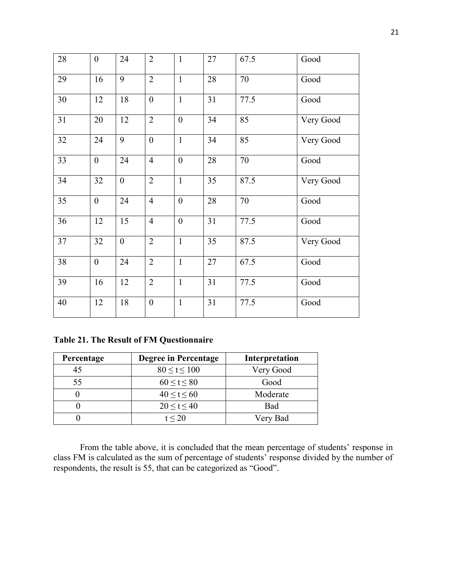| 28 | $\overline{0}$   | 24               | $\overline{2}$   | $\mathbf{1}$     | 27 | 67.5 | Good      |
|----|------------------|------------------|------------------|------------------|----|------|-----------|
| 29 | 16               | 9                | $\overline{2}$   | $\mathbf{1}$     | 28 | 70   | Good      |
| 30 | 12               | 18               | $\mathbf{0}$     | $\mathbf{1}$     | 31 | 77.5 | Good      |
| 31 | 20               | 12               | $\overline{2}$   | $\overline{0}$   | 34 | 85   | Very Good |
| 32 | 24               | 9                | $\boldsymbol{0}$ | $\mathbf{1}$     | 34 | 85   | Very Good |
| 33 | $\overline{0}$   | 24               | $\overline{4}$   | $\overline{0}$   | 28 | 70   | Good      |
| 34 | 32               | $\overline{0}$   | $\overline{2}$   | $\mathbf{1}$     | 35 | 87.5 | Very Good |
| 35 | $\boldsymbol{0}$ | 24               | $\overline{4}$   | $\boldsymbol{0}$ | 28 | 70   | Good      |
| 36 | 12               | 15               | $\overline{4}$   | $\boldsymbol{0}$ | 31 | 77.5 | Good      |
| 37 | 32               | $\boldsymbol{0}$ | $\overline{2}$   | $\mathbf{1}$     | 35 | 87.5 | Very Good |
| 38 | $\boldsymbol{0}$ | 24               | $\overline{2}$   | $\mathbf{1}$     | 27 | 67.5 | Good      |
| 39 | 16               | 12               | $\overline{2}$   | $\mathbf{1}$     | 31 | 77.5 | Good      |
| 40 | 12               | 18               | $\boldsymbol{0}$ | $\mathbf{1}$     | 31 | 77.5 | Good      |

**Table 21. The Result of FM Questionnaire**

| Percentage | Degree in Percentage | Interpretation |
|------------|----------------------|----------------|
| 45         | $80 \le t \le 100$   | Very Good      |
| 55         | $60 \le t \le 80$    | Good           |
|            | 40 < t < 60          | Moderate       |
|            | 20 < t < 40          | <b>Bad</b>     |
|            | t < 20               | Very Bad       |

From the table above, it is concluded that the mean percentage of students' response in class FM is calculated as the sum of percentage of students' response divided by the number of respondents, the result is 55, that can be categorized as "Good".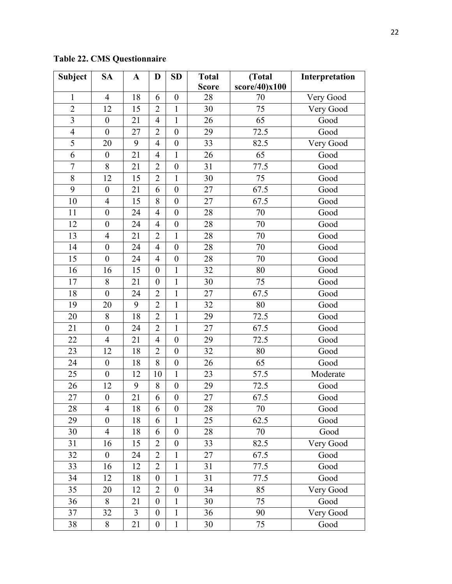**Table 22. CMS Questionnaire**

| <b>Subject</b> | <b>SA</b>        | A              | D                | <b>SD</b>        | <b>Total</b> | (Total        | Interpretation |
|----------------|------------------|----------------|------------------|------------------|--------------|---------------|----------------|
|                |                  |                |                  |                  | <b>Score</b> | score/40)x100 |                |
| $\mathbf{1}$   | $\overline{4}$   | 18             | 6                | $\boldsymbol{0}$ | 28           | 70            | Very Good      |
| $\overline{2}$ | 12               | 15             | $\overline{2}$   | $\mathbf{1}$     | 30           | 75            | Very Good      |
| $\overline{3}$ | $\boldsymbol{0}$ | 21             | 4                | $\mathbf{1}$     | 26           | 65            | Good           |
| $\overline{4}$ | $\mathbf{0}$     | 27             | $\overline{2}$   | $\boldsymbol{0}$ | 29           | 72.5          | Good           |
| 5              | 20               | 9              | $\overline{4}$   | $\boldsymbol{0}$ | 33           | 82.5          | Very Good      |
| 6              | $\boldsymbol{0}$ | 21             | $\overline{4}$   | $\mathbf{1}$     | 26           | 65            | Good           |
| $\tau$         | 8                | 21             | $\overline{2}$   | $\boldsymbol{0}$ | 31           | 77.5          | Good           |
| 8              | 12               | 15             | $\overline{2}$   | $\mathbf{1}$     | 30           | 75            | Good           |
| 9              | $\mathbf{0}$     | 21             | 6                | $\boldsymbol{0}$ | 27           | 67.5          | Good           |
| 10             | $\overline{4}$   | 15             | 8                | $\boldsymbol{0}$ | 27           | 67.5          | Good           |
| 11             | $\boldsymbol{0}$ | 24             | $\overline{4}$   | $\boldsymbol{0}$ | 28           | 70            | Good           |
| 12             | $\boldsymbol{0}$ | 24             | 4                | $\boldsymbol{0}$ | 28           | 70            | Good           |
| 13             | $\overline{4}$   | 21             | $\overline{2}$   | $\mathbf{1}$     | 28           | 70            | Good           |
| 14             | $\mathbf{0}$     | 24             | $\overline{4}$   | $\boldsymbol{0}$ | 28           | 70            | Good           |
| 15             | $\boldsymbol{0}$ | 24             | $\overline{4}$   | $\boldsymbol{0}$ | 28           | 70            | Good           |
| 16             | 16               | 15             | $\boldsymbol{0}$ | $\mathbf{1}$     | 32           | 80            | Good           |
| 17             | 8                | 21             | $\boldsymbol{0}$ | $\mathbf{1}$     | 30           | 75            | Good           |
| 18             | $\boldsymbol{0}$ | 24             | $\overline{2}$   | $\mathbf{1}$     | 27           | 67.5          | Good           |
| 19             | 20               | 9              | $\overline{2}$   | $\mathbf{1}$     | 32           | 80            | Good           |
| 20             | 8                | 18             | $\overline{2}$   | $\mathbf{1}$     | 29           | 72.5          | Good           |
| 21             | $\boldsymbol{0}$ | 24             | $\overline{2}$   | $\mathbf{1}$     | 27           | 67.5          | Good           |
| 22             | $\overline{4}$   | 21             | 4                | $\boldsymbol{0}$ | 29           | 72.5          | Good           |
| 23             | 12               | 18             | 2                | $\boldsymbol{0}$ | 32           | 80            | Good           |
| 24             | $\boldsymbol{0}$ | 18             | 8                | $\boldsymbol{0}$ | 26           | 65            | Good           |
| 25             | $\mathbf{0}$     | 12             | 10               | $\mathbf{1}$     | 23           | 57.5          | Moderate       |
| 26             | 12               | 9              | 8                | $\boldsymbol{0}$ | 29           | 72.5          | Good           |
| 27             | $\boldsymbol{0}$ | 21             | 6                | $\boldsymbol{0}$ | 27           | 67.5          | Good           |
| 28             | 4                | 18             | 6                | $\boldsymbol{0}$ | 28           | 70            | Good           |
| 29             | $\boldsymbol{0}$ | 18             | 6                | $\mathbf{1}$     | 25           | 62.5          | Good           |
| 30             | $\overline{4}$   | 18             | 6                | $\boldsymbol{0}$ | 28           | 70            | Good           |
| 31             | 16               | 15             | $\overline{2}$   | $\boldsymbol{0}$ | 33           | 82.5          | Very Good      |
| 32             | $\boldsymbol{0}$ | 24             | $\overline{2}$   | $\mathbf{1}$     | $27\,$       | 67.5          | Good           |
| 33             | 16               | 12             | $\overline{2}$   | $\mathbf{1}$     | 31           | 77.5          | Good           |
| 34             | 12               | 18             | $\boldsymbol{0}$ | $\mathbf{1}$     | 31           | 77.5          | Good           |
| 35             | 20               | 12             | $\overline{2}$   | $\boldsymbol{0}$ | 34           | 85            | Very Good      |
| 36             | 8                | 21             | $\boldsymbol{0}$ | $\mathbf{1}$     | 30           | 75            | Good           |
| 37             | 32               | $\overline{3}$ | $\boldsymbol{0}$ | $\mathbf 1$      | 36           | 90            | Very Good      |
| 38             | 8                | 21             | $\boldsymbol{0}$ | $\mathbf 1$      | 30           | 75            | Good           |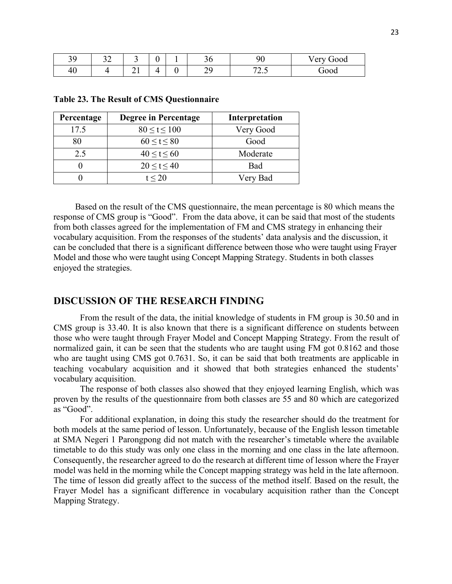| 30<br>ر ر | ◡∸ | $\tilde{\phantom{a}}$ | $\sim$ | ◡◡      | nr<br>৴∪            | ∕ erv<br>Good<br>◡ |
|-----------|----|-----------------------|--------|---------|---------------------|--------------------|
| 40        |    | $\sim$ 1              |        | ৲⌒<br>- | $\sqrt{2}$<br>ر . ب | TOOO<br>vvu        |

| Percentage | Degree in Percentage | Interpretation |
|------------|----------------------|----------------|
| 17.5       | $80 \le t \le 100$   | Very Good      |
| 80         | $60 \le t \le 80$    | Good           |
| 2.5        | 40 < t < 60          | Moderate       |
|            | 20 < t < 40          | Bad            |
|            | t < 20               | Very Bad       |

**Table 23. The Result of CMS Questionnaire**

Based on the result of the CMS questionnaire, the mean percentage is 80 which means the response of CMS group is "Good". From the data above, it can be said that most of the students from both classes agreed for the implementation of FM and CMS strategy in enhancing their vocabulary acquisition. From the responses of the students' data analysis and the discussion, it can be concluded that there is a significant difference between those who were taught using Frayer Model and those who were taught using Concept Mapping Strategy. Students in both classes enjoyed the strategies.

# **DISCUSSION OF THE RESEARCH FINDING**

From the result of the data, the initial knowledge of students in FM group is 30.50 and in CMS group is 33.40. It is also known that there is a significant difference on students between those who were taught through Frayer Model and Concept Mapping Strategy. From the result of normalized gain, it can be seen that the students who are taught using FM got 0.8162 and those who are taught using CMS got 0.7631. So, it can be said that both treatments are applicable in teaching vocabulary acquisition and it showed that both strategies enhanced the students' vocabulary acquisition.

The response of both classes also showed that they enjoyed learning English, which was proven by the results of the questionnaire from both classes are 55 and 80 which are categorized as "Good".

For additional explanation, in doing this study the researcher should do the treatment for both models at the same period of lesson. Unfortunately, because of the English lesson timetable at SMA Negeri 1 Parongpong did not match with the researcher's timetable where the available timetable to do this study was only one class in the morning and one class in the late afternoon. Consequently, the researcher agreed to do the research at different time of lesson where the Frayer model was held in the morning while the Concept mapping strategy was held in the late afternoon. The time of lesson did greatly affect to the success of the method itself. Based on the result, the Frayer Model has a significant difference in vocabulary acquisition rather than the Concept Mapping Strategy.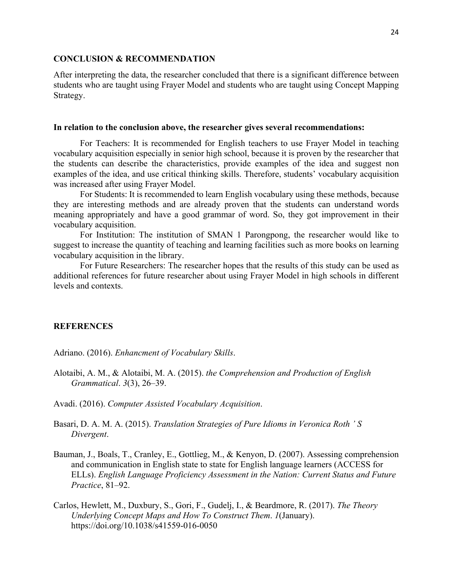#### **CONCLUSION & RECOMMENDATION**

After interpreting the data, the researcher concluded that there is a significant difference between students who are taught using Frayer Model and students who are taught using Concept Mapping Strategy.

#### **In relation to the conclusion above, the researcher gives several recommendations:**

For Teachers: It is recommended for English teachers to use Frayer Model in teaching vocabulary acquisition especially in senior high school, because it is proven by the researcher that the students can describe the characteristics, provide examples of the idea and suggest non examples of the idea, and use critical thinking skills. Therefore, students' vocabulary acquisition was increased after using Frayer Model.

For Students: It is recommended to learn English vocabulary using these methods, because they are interesting methods and are already proven that the students can understand words meaning appropriately and have a good grammar of word. So, they got improvement in their vocabulary acquisition.

For Institution: The institution of SMAN 1 Parongpong, the researcher would like to suggest to increase the quantity of teaching and learning facilities such as more books on learning vocabulary acquisition in the library.

For Future Researchers: The researcher hopes that the results of this study can be used as additional references for future researcher about using Frayer Model in high schools in different levels and contexts.

#### **REFERENCES**

Adriano. (2016). *Enhancment of Vocabulary Skills*.

- Alotaibi, A. M., & Alotaibi, M. A. (2015). *the Comprehension and Production of English Grammatical*. *3*(3), 26–39.
- Avadi. (2016). *Computer Assisted Vocabulary Acquisition*.
- Basari, D. A. M. A. (2015). *Translation Strategies of Pure Idioms in Veronica Roth ' S Divergent*.
- Bauman, J., Boals, T., Cranley, E., Gottlieg, M., & Kenyon, D. (2007). Assessing comprehension and communication in English state to state for English language learners (ACCESS for ELLs). *English Language Proficiency Assessment in the Nation: Current Status and Future Practice*, 81–92.
- Carlos, Hewlett, M., Duxbury, S., Gori, F., Gudelj, I., & Beardmore, R. (2017). *The Theory Underlying Concept Maps and How To Construct Them*. *1*(January). https://doi.org/10.1038/s41559-016-0050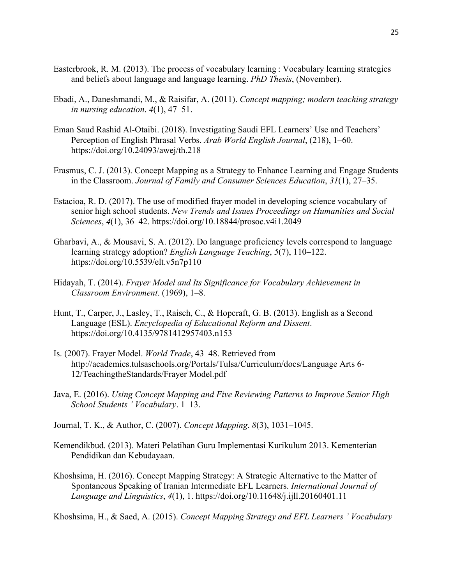- Easterbrook, R. M. (2013). The process of vocabulary learning : Vocabulary learning strategies and beliefs about language and language learning. *PhD Thesis*, (November).
- Ebadi, A., Daneshmandi, M., & Raisifar, A. (2011). *Concept mapping; modern teaching strategy in nursing education*. *4*(1), 47–51.
- Eman Saud Rashid Al-Otaibi. (2018). Investigating Saudi EFL Learners' Use and Teachers' Perception of English Phrasal Verbs. *Arab World English Journal*, (218), 1–60. https://doi.org/10.24093/awej/th.218
- Erasmus, C. J. (2013). Concept Mapping as a Strategy to Enhance Learning and Engage Students in the Classroom. *Journal of Family and Consumer Sciences Education*, *31*(1), 27–35.
- Estacioa, R. D. (2017). The use of modified frayer model in developing science vocabulary of senior high school students. *New Trends and Issues Proceedings on Humanities and Social Sciences*, *4*(1), 36–42. https://doi.org/10.18844/prosoc.v4i1.2049
- Gharbavi, A., & Mousavi, S. A. (2012). Do language proficiency levels correspond to language learning strategy adoption? *English Language Teaching*, *5*(7), 110–122. https://doi.org/10.5539/elt.v5n7p110
- Hidayah, T. (2014). *Frayer Model and Its Significance for Vocabulary Achievement in Classroom Environment*. (1969), 1–8.
- Hunt, T., Carper, J., Lasley, T., Raisch, C., & Hopcraft, G. B. (2013). English as a Second Language (ESL). *Encyclopedia of Educational Reform and Dissent*. https://doi.org/10.4135/9781412957403.n153
- Is. (2007). Frayer Model. *World Trade*, 43–48. Retrieved from http://academics.tulsaschools.org/Portals/Tulsa/Curriculum/docs/Language Arts 6- 12/TeachingtheStandards/Frayer Model.pdf
- Java, E. (2016). *Using Concept Mapping and Five Reviewing Patterns to Improve Senior High School Students ' Vocabulary*. 1–13.
- Journal, T. K., & Author, C. (2007). *Concept Mapping*. *8*(3), 1031–1045.
- Kemendikbud. (2013). Materi Pelatihan Guru Implementasi Kurikulum 2013. Kementerian Pendidikan dan Kebudayaan.
- Khoshsima, H. (2016). Concept Mapping Strategy: A Strategic Alternative to the Matter of Spontaneous Speaking of Iranian Intermediate EFL Learners. *International Journal of Language and Linguistics*, *4*(1), 1. https://doi.org/10.11648/j.ijll.20160401.11

Khoshsima, H., & Saed, A. (2015). *Concept Mapping Strategy and EFL Learners ' Vocabulary*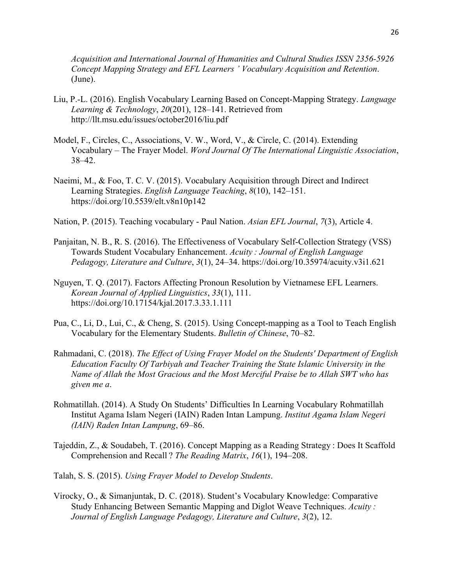*Acquisition and International Journal of Humanities and Cultural Studies ISSN 2356-5926 Concept Mapping Strategy and EFL Learners ' Vocabulary Acquisition and Retention*. (June).

- Liu, P.-L. (2016). English Vocabulary Learning Based on Concept-Mapping Strategy. *Language Learning & Technology*, *20*(201), 128–141. Retrieved from http://llt.msu.edu/issues/october2016/liu.pdf
- Model, F., Circles, C., Associations, V. W., Word, V., & Circle, C. (2014). Extending Vocabulary – The Frayer Model. *Word Journal Of The International Linguistic Association*, 38–42.
- Naeimi, M., & Foo, T. C. V. (2015). Vocabulary Acquisition through Direct and Indirect Learning Strategies. *English Language Teaching*, *8*(10), 142–151. https://doi.org/10.5539/elt.v8n10p142
- Nation, P. (2015). Teaching vocabulary Paul Nation. *Asian EFL Journal*, *7*(3), Article 4.
- Panjaitan, N. B., R. S. (2016). The Effectiveness of Vocabulary Self-Collection Strategy (VSS) Towards Student Vocabulary Enhancement. *Acuity : Journal of English Language Pedagogy, Literature and Culture*, *3*(1), 24–34. https://doi.org/10.35974/acuity.v3i1.621
- Nguyen, T. Q. (2017). Factors Affecting Pronoun Resolution by Vietnamese EFL Learners. *Korean Journal of Applied Linguistics*, *33*(1), 111. https://doi.org/10.17154/kjal.2017.3.33.1.111
- Pua, C., Li, D., Lui, C., & Cheng, S. (2015). Using Concept-mapping as a Tool to Teach English Vocabulary for the Elementary Students. *Bulletin of Chinese*, 70–82.
- Rahmadani, C. (2018). *The Effect of Using Frayer Model on the Students' Department of English Education Faculty Of Tarbiyah and Teacher Training the State Islamic University in the Name of Allah the Most Gracious and the Most Merciful Praise be to Allah SWT who has given me a*.
- Rohmatillah. (2014). A Study On Students' Difficulties In Learning Vocabulary Rohmatillah Institut Agama Islam Negeri (IAIN) Raden Intan Lampung. *Institut Agama Islam Negeri (IAIN) Raden Intan Lampung*, 69–86.
- Tajeddin, Z., & Soudabeh, T. (2016). Concept Mapping as a Reading Strategy : Does It Scaffold Comprehension and Recall ? *The Reading Matrix*, *16*(1), 194–208.
- Talah, S. S. (2015). *Using Frayer Model to Develop Students*.
- Virocky, O., & Simanjuntak, D. C. (2018). Student's Vocabulary Knowledge: Comparative Study Enhancing Between Semantic Mapping and Diglot Weave Techniques. *Acuity : Journal of English Language Pedagogy, Literature and Culture*, *3*(2), 12.